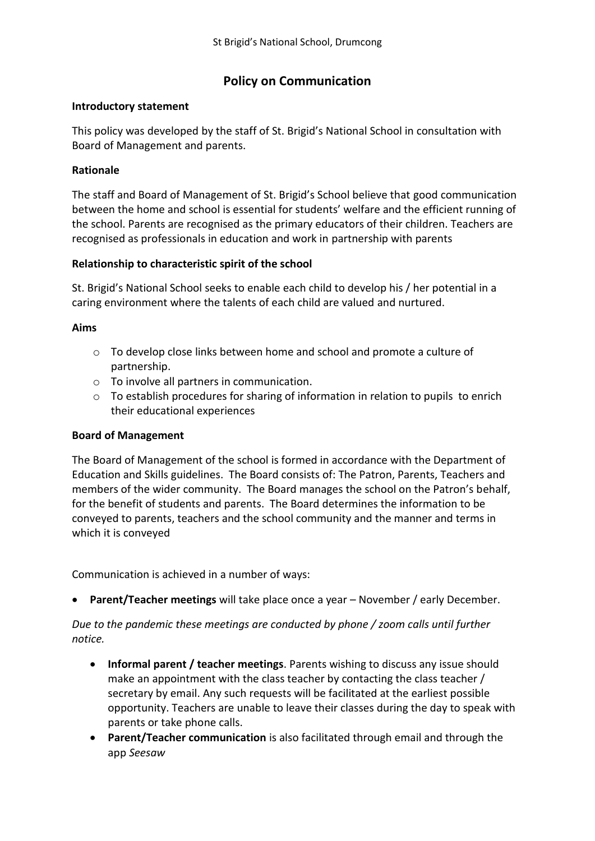# **Policy on Communication**

#### **Introductory statement**

This policy was developed by the staff of St. Brigid's National School in consultation with Board of Management and parents.

#### **Rationale**

The staff and Board of Management of St. Brigid's School believe that good communication between the home and school is essential for students' welfare and the efficient running of the school. Parents are recognised as the primary educators of their children. Teachers are recognised as professionals in education and work in partnership with parents

#### **Relationship to characteristic spirit of the school**

St. Brigid's National School seeks to enable each child to develop his / her potential in a caring environment where the talents of each child are valued and nurtured.

#### **Aims**

- $\circ$  To develop close links between home and school and promote a culture of partnership.
- o To involve all partners in communication.
- $\circ$  To establish procedures for sharing of information in relation to pupils to enrich their educational experiences

#### **Board of Management**

The Board of Management of the school is formed in accordance with the Department of Education and Skills guidelines. The Board consists of: The Patron, Parents, Teachers and members of the wider community. The Board manages the school on the Patron's behalf, for the benefit of students and parents. The Board determines the information to be conveyed to parents, teachers and the school community and the manner and terms in which it is conveyed

Communication is achieved in a number of ways:

**Parent/Teacher meetings** will take place once a year – November / early December.

*Due to the pandemic these meetings are conducted by phone / zoom calls until further notice.*

- **Informal parent / teacher meetings**. Parents wishing to discuss any issue should make an appointment with the class teacher by contacting the class teacher / secretary by email. Any such requests will be facilitated at the earliest possible opportunity. Teachers are unable to leave their classes during the day to speak with parents or take phone calls.
- **Parent/Teacher communication** is also facilitated through email and through the app *Seesaw*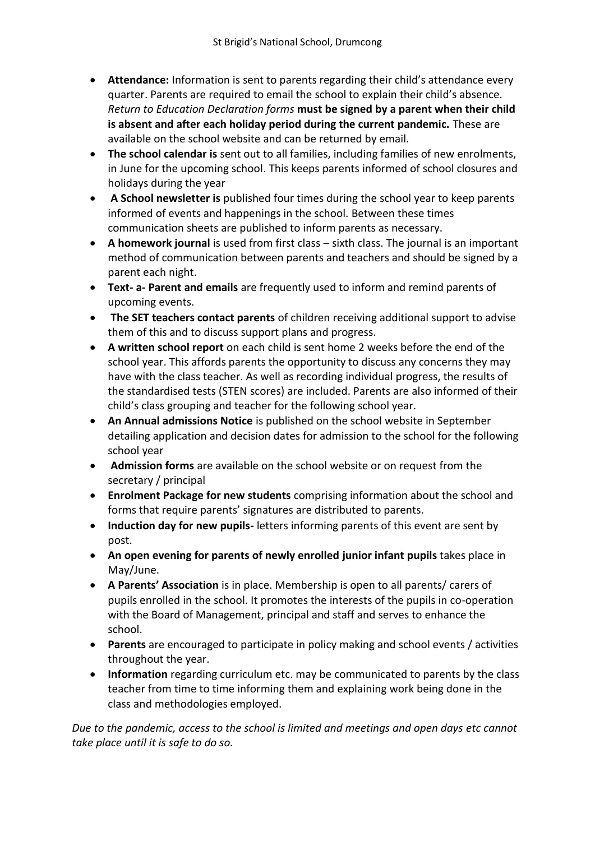- **Attendance:** Information is sent to parents regarding their child's attendance every quarter. Parents are required to email the school to explain their child's absence. *Return to Education Declaration forms* **must be signed by a parent when their child is absent and after each holiday period during the current pandemic.** These are available on the school website and can be returned by email.
- **The school calendar is** sent out to all families, including families of new enrolments, in June for the upcoming school. This keeps parents informed of school closures and holidays during the year
- **A School newsletter is** published four times during the school year to keep parents informed of events and happenings in the school. Between these times communication sheets are published to inform parents as necessary.
- **A homework journal** is used from first class sixth class. The journal is an important method of communication between parents and teachers and should be signed by a parent each night.
- **Text- a- Parent and emails** are frequently used to inform and remind parents of upcoming events.
- **The SET teachers contact parents** of children receiving additional support to advise them of this and to discuss support plans and progress.
- **A written school report** on each child is sent home 2 weeks before the end of the school year. This affords parents the opportunity to discuss any concerns they may have with the class teacher. As well as recording individual progress, the results of the standardised tests (STEN scores) are included. Parents are also informed of their child's class grouping and teacher for the following school year.
- **An Annual admissions Notice** is published on the school website in September detailing application and decision dates for admission to the school for the following school year
- **Admission forms** are available on the school website or on request from the secretary / principal
- **Enrolment Package for new students** comprising information about the school and forms that require parents' signatures are distributed to parents.
- **Induction day for new pupils-** letters informing parents of this event are sent by post.
- **An open evening for parents of newly enrolled junior infant pupils takes place in** May/June.
- **A Parents' Association** is in place. Membership is open to all parents/ carers of pupils enrolled in the school. It promotes the interests of the pupils in co-operation with the Board of Management, principal and staff and serves to enhance the school.
- **Parents** are encouraged to participate in policy making and school events / activities throughout the year.
- **Information** regarding curriculum etc. may be communicated to parents by the class teacher from time to time informing them and explaining work being done in the class and methodologies employed.

*Due to the pandemic, access to the school is limited and meetings and open days etc cannot take place until it is safe to do so.*